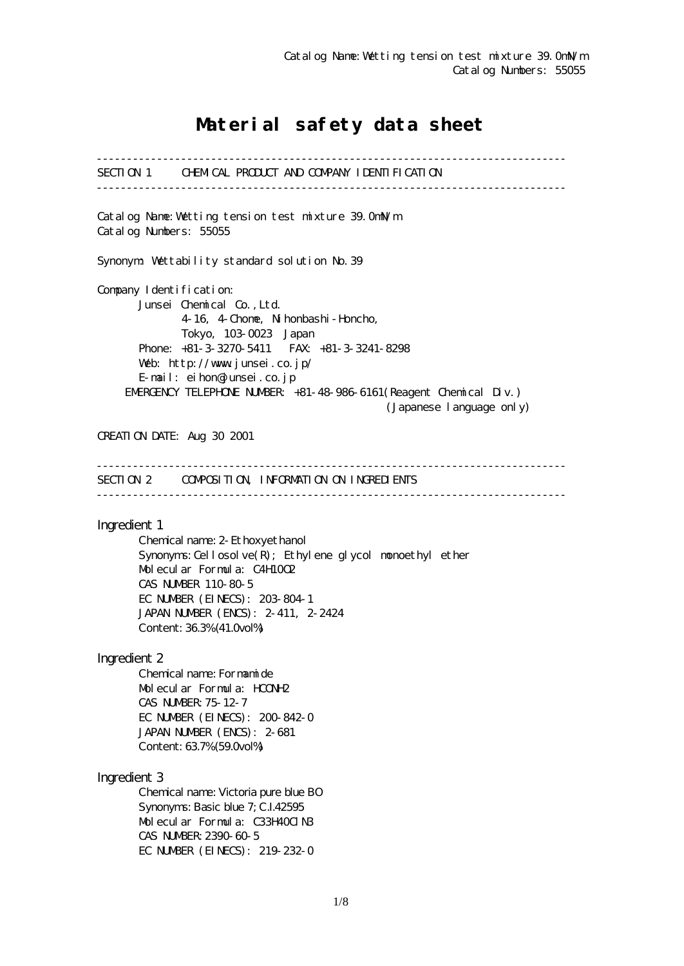# Material safety data sheet

------------------------------------------------------------------------------ SECTION 1 CHEMICAL PRODUCT AND COMPANY IDENTIFICATION ------------------------------------------------------------------------------ Catalog Name:Wetting tension test mixture 39.0mN/m Catalog Numbers: 55055 Synonym: Wettability standard solution No.39 Company I dentification: Junsei Chemical Co.,Ltd. 4-16, 4-Chome, Nihonbashi-Honcho, Tokyo, 103-0023 Japan Phone: +81-3-3270-5411 FAX: +81-3-3241-8298 Web: http://www.junsei.co.jp/ E-mail: eihon@junsei.co.jp EMERGENCY TELEPHONE NUMBER: +81-48-986-6161(Reagent Chemical Div.) (Japanese language only) CREATION DATE: Aug 30 2001 ------------------------------------------------------------------------------ SECTION 2 COMPOSITION, INFORMATION ON INGREDIENTS ------------------------------------------------------------------------------ Ingredient 1 Chemical name: 2-Ethoxyethanol Synonyms: Cellosolve $(R)$ ; Ethylene glycol monoethyl ether Molecular Formula: C4H10O2 CAS NUMBER 110-80-5 EC NUMBER (EINECS): 203-804-1 JAPAN NUMBER (ENCS): 2-411, 2-2424 Content: 36.3% (41.0vol%) Ingredient 2 Chemical name: Formamide Molecular Formula: HCONH2 CAS NUMBER:75-12-7 EC NUMBER (EINECS): 200-842-0 JAPAN NUMBER (ENCS): 2-681 Content: 63.7% (59.0vol%) Ingredient 3 Chemical name: Victoria pure blue BO Synonyms: Basic blue 7; C.I.42595 Molecular Formula: C33H40ClN3 CAS NUMBER:2390-60-5 EC NUMBER (EINECS): 219-232-0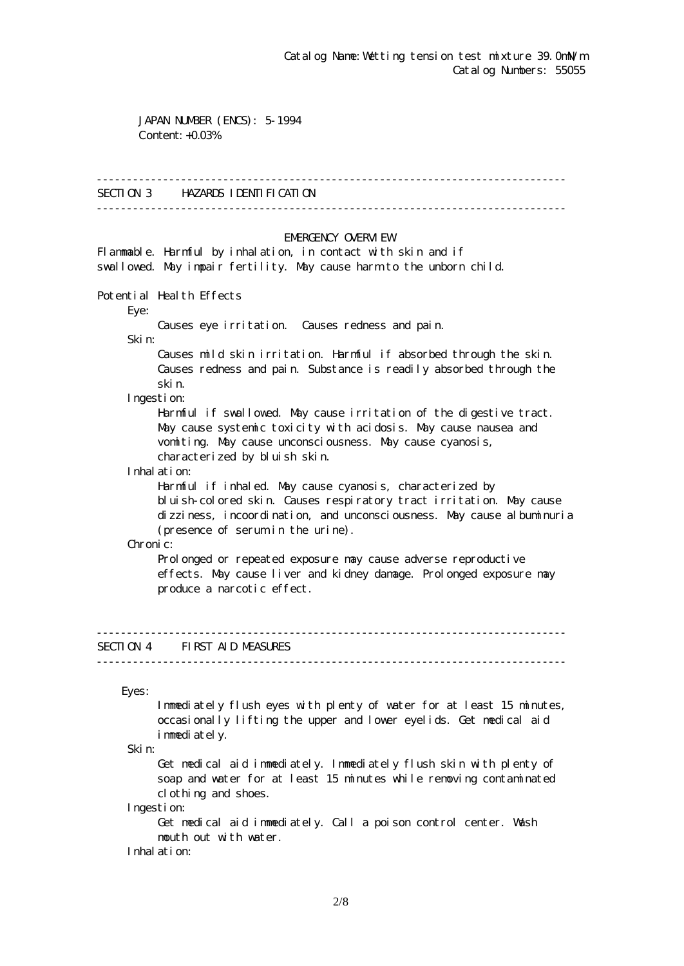JAPAN NUMBER (ENCS): 5-1994 Content: +0.03%

#### ------------------------------------------------------------------------------

## SECTION 3 HAZARDS IDENTIFICATION

------------------------------------------------------------------------------

### EMERGENCY CAERM EW

Flammable. Harmful by inhalation, in contact with skin and if swallowed. May impair fertility. May cause harm to the unborn child.

Potential Health Effects

Eye:

Causes eye irritation. Causes redness and pain.

Skin:

 Causes mild skin irritation. Harmful if absorbed through the skin. Causes redness and pain. Substance is readily absorbed through the skin.

Ingestion:

 Harmful if swallowed. May cause irritation of the digestive tract. May cause systemic toxicity with acidosis. May cause nausea and vomiting. May cause unconsciousness. May cause cyanosis, characterized by bluish skin.

Inhalation:

 Harmful if inhaled. May cause cyanosis, characterized by bluish-colored skin. Causes respiratory tract irritation. May cause dizziness, incoordination, and unconsciousness. May cause albuminuria (presence of serum in the urine).

Chronic:

Prolonged or repeated exposure may cause adverse reproductive effects. May cause liver and kidney damage. Prolonged exposure may produce a narcotic effect.

## SECTION 4 FIRST AID MEASURES

------------------------------------------------------------------------------

------------------------------------------------------------------------------

Eyes:

 Immediately flush eyes with plenty of water for at least 15 minutes, occasionally lifting the upper and lower eyelids. Get medical aid immediately.

Skin:

 Get medical aid immediately. Immediately flush skin with plenty of soap and water for at least 15 minutes while removing contaminated clothing and shoes.

Ingestion:

 Get medical aid immediately. Call a poison control center. Wash mouth out with water.

Inhalation: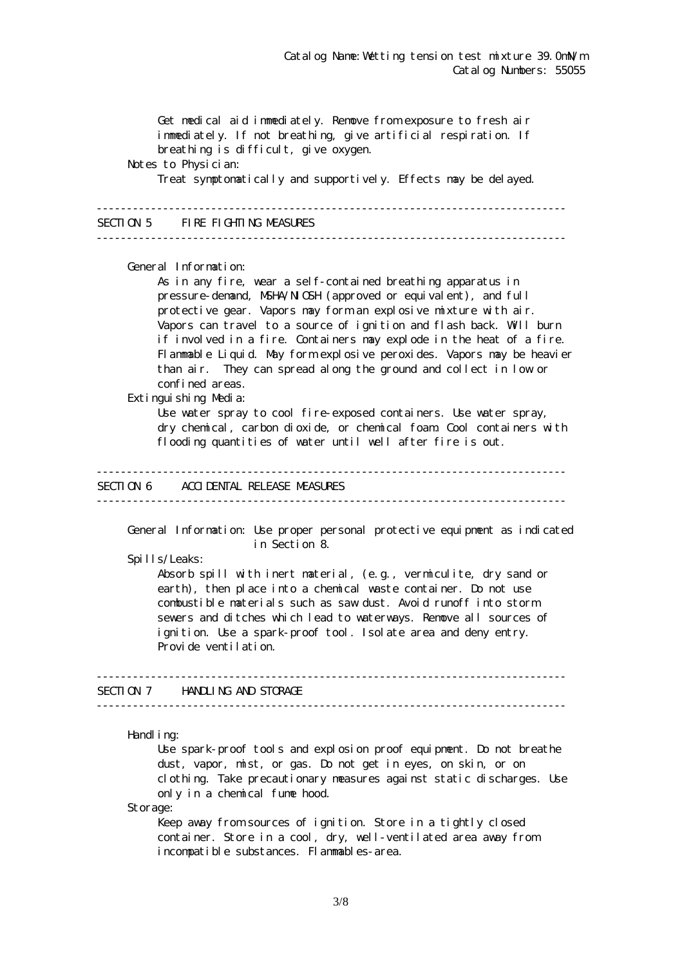Get medical aid immediately. Remove from exposure to fresh air immediately. If not breathing, give artificial respiration. If breathing is difficult, give oxygen. Notes to Physician: Treat symptomatically and supportively. Effects may be delayed. ------------------------------------------------------------------------------ SECTION 5 FIRE FIGHTING MEASURES ------------------------------------------------------------------------------ General Information: As in any fire, wear a self-contained breathing apparatus in pressure-demand, NSHA/NICSH (approved or equivalent), and full protective gear. Vapors may form an explosive mixture with air. Vapors can travel to a source of ignition and flash back. Will burn if involved in a fire. Containers may explode in the heat of a fire. Flammable Liquid. May form explosive peroxides. Vapors may be heavier than air. They can spread along the ground and collect in low or confined areas. Extinguishing Media: Use water spray to cool fire-exposed containers. Use water spray, dry chemical, carbon dioxide, or chemical foam. Cool containers with flooding quantities of water until well after fire is out. ------------------------------------------------------------------------------ SECTION 6 ACCIDENTAL RELEASE MEASURES ------------------------------------------------------------------------------ General Information: Use proper personal protective equipment as indicated in Section 8. Spills/Leaks: Absorb spill with inert material, (e.g., vermiculite, dry sand or earth), then place into a chemical waste container. Do not use combustible materials such as saw dust. Avoid runoff into storm sewers and ditches which lead to waterways. Remove all sources of ignition. Use a spark-proof tool. Isolate area and deny entry. Provide ventilation. ------------------------------------------------------------------------------ SECTION 7 HANDLING AND STORAGE ------------------------------------------------------------------------------ Handling: Use spark-proof tools and explosion proof equipment. Do not breathe dust, vapor, mist, or gas. Do not get in eyes, on skin, or on clothing. Take precautionary measures against static discharges. Use only in a chemical fume hood.

Storage:

Keep away from sources of ignition. Store in a tightly closed container. Store in a cool, dry, well-ventilated area away from incompatible substances. Flammables-area.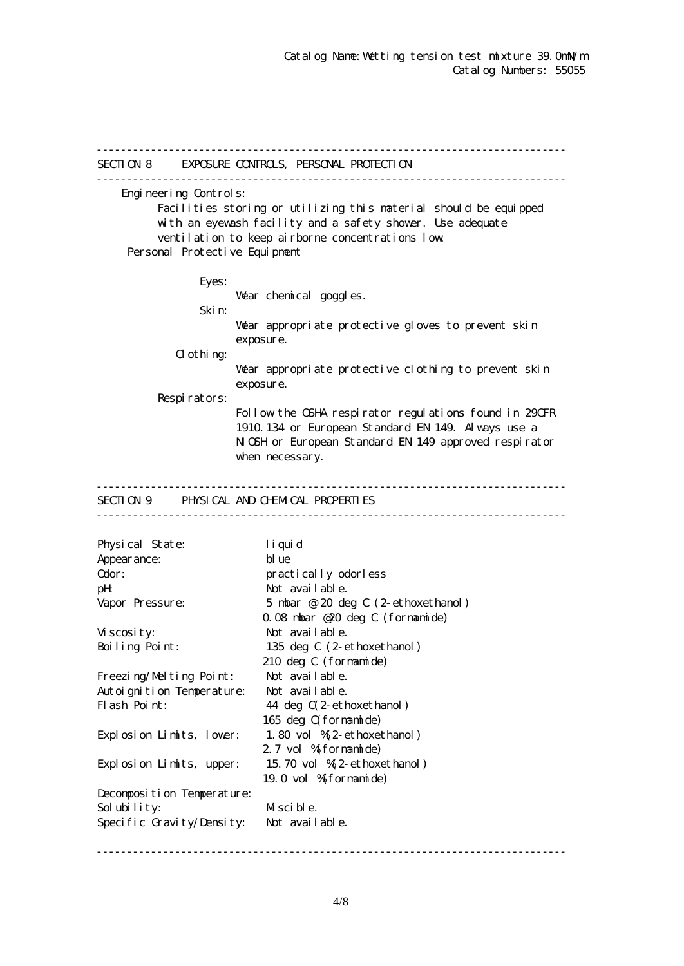------------------------------------------------------------------------------ SECTION 8 EXPOSURE CONTROLS, PERSONAL PROTECTION ------------------------------------------------------------------------------ Engineering Controls: Facilities storing or utilizing this material should be equipped with an eyewash facility and a safety shower. Use adequate ventilation to keep airborne concentrations low. Personal Protective Equipment Eyes: War chemical goggles. Skin: Wear appropriate protective gloves to prevent skin exposure.  $d$  othing: Wear appropriate protective clothing to prevent skin exposure. Respirators: Follow the OSHA respirator regulations found in 29CFR 1910.134 or European Standard EN 149. Always use a NGH or European Standard EN 149 approved respirator when necessary. ------------------------------------------------------------------------------ SECTION 9 PHYSICAL AND CHEMICAL PROPERTIES ------------------------------------------------------------------------------ Physical State: liquid Appearance: blue Odor: practically odorless pH: Not available. Vapor Pressure: 5 mbar @ 20 deg C (2-ethoxethanol) 0.08 mbar @20 deg C (formamide) Viscosity: Not available. Boiling Point: 135 deg C (2-ethoxethanol) 210 deg C (formamide) Freezing/Melting Point: Not available. Autoignition Temperature: Not available. Flash Point: 44 deg  $C(2$ -ethoxethanol) 165 deg C(formamide) Explosion Limits, lower: 1.80 vol %(2-ethoxethanol) 2.7 vol % formamide) Explosion Limits, upper: 15.70 vol %(2-ethoxethanol) 19.0 vol %(formamide) Decomposition Temperature: Solubility: Miscible. Specific Gravity/Density: Not available.

------------------------------------------------------------------------------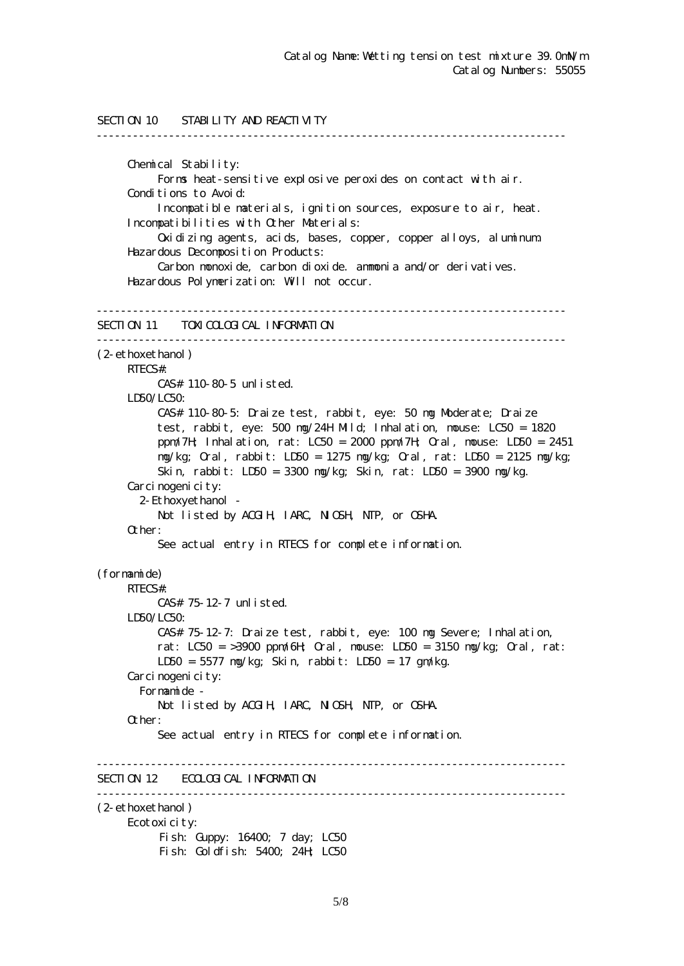```
SECTION 10 STABILITY AND REACTIVITY
------------------------------------------------------------------------------
      Chemical Stability:
           Forms heat-sensitive explosive peroxides on contact with air.
      Conditions to Avoid:
           Incompatible materials, ignition sources, exposure to air, heat.
      Incompatibilities with Other Materials:
           Oxidizing agents, acids, bases, copper, copper alloys, aluminum.
      Hazardous Decomposition Products:
           Carbon monoxide, carbon dioxide. ammonia and/or derivatives.
      Hazardous Polymerization: Will not occur.
------------------------------------------------------------------------------
SECTION 11 TOM COLOGICAL INFORMATION
------------------------------------------------------------------------------
(2-ethoxethanol)
     RTECS#:
           CAS# 110-80-5 unlisted.
    LDSO/LCSO CAS# 110-80-5: Draize test, rabbit, eye: 50 mg Moderate; Draize
           test, rabbit, eye: 500 mg/24H Mild; Inhalation, mouse: LC50 = 1820
           ppm/7H; Inhalation, rat: LC50 = 2000 ppm/7H; Oral, mouse: LD50 = 2451
           mg/kg; Oral, rabbit: LD50 = 1275 mg/kg; Oral, rat: LD50 = 2125 mg/kg;
           Skin, rabbit: LD50 = 3300 mg/kg; Skin, rat: LD50 = 3900 mg/kg.
     Carcinogenicity:
        2-Ethoxyethanol -
          Not listed by ACGIH, IARC, NICSH, NIP, or CSHA.
      Other:
           See actual entry in RTECS for complete information.
(formamide)
     RTECS#:
           CAS# 75-12-7 unlisted.
      LD50/LC50:
           CAS# 75-12-7: Draize test, rabbit, eye: 100 mg Severe; Inhalation,
          rat: LC50 = >3900 ppm/6H Qrd, nouse: LD50 = 3150 mg/kg; Qrd, rat:
           LD50 = 5577 mg/kg; Skin, rabbit: LD50 = 17 gm/kg.
     Carcinogenicity:
        Formamide -
          Not listed by ACGIH, IARC, NICSH, NIP, or CSHA.
      Other:
           See actual entry in RTECS for complete information.
------------------------------------------------------------------------------
SECTION 12 ECOLOGICAL INFORMATION
------------------------------------------------------------------------------
(2-ethoxethanol)
      Ecotoxicity:
          Fish: Guppy: 16400; 7 day; LC50
          Fish: Goldfish: 5400; 24H; LC50
```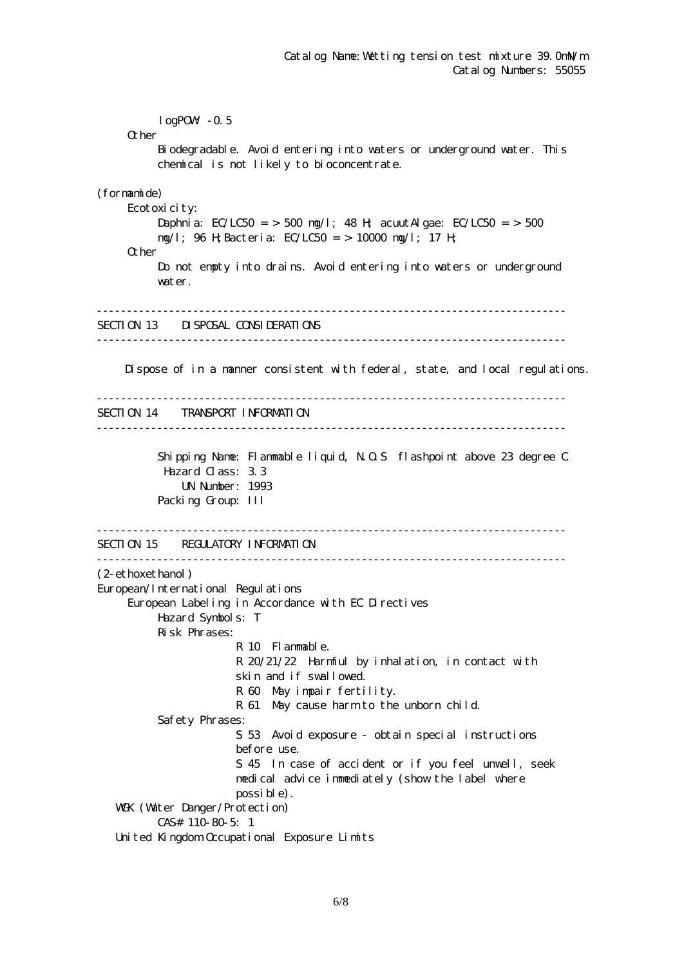$logPOW - 0.5$ **O**ther Biodegradable. Avoid entering into waters or underground water. This chemical is not likely to bioconcentrate. (formamide) Ecotoxicity: Daphnia: EC/LC50 = > 500 mg/l; 48 H; acuut Algae: EC/LC50 = > 500 mg/l; 96 H;Bacteria: EC/LC50 = > 10000 mg/l; 17 H; Other Do not empty into drains. Avoid entering into waters or underground water. ------------------------------------------------------------------------------ SECTION 13 DISPOSAL CONSIDERATIONS ------------------------------------------------------------------------------ Dispose of in a manner consistent with federal, state, and local regulations. ------------------------------------------------------------------------------ SECTION 14 TRANSPORT INFORMATION ------------------------------------------------------------------------------ Shipping Name: Flammable liquid, N.O.S flashpoint above 23 degree C Hazard Class: 3.3 UN Number: 1993 Packing Group: III ------------------------------------------------------------------------------ SECTION 15 REGULATORY INFORMATION ------------------------------------------------------------------------------ (2-ethoxethanol) European/International Regulations European Labeling in Accordance with EC Directives Hazard Symbols: T Risk Phrases: R 10 Flammable. R 20/21/22 Harmful by inhalation, in contact with skin and if swallowed. R 60 May impair fertility. R 61 May cause harm to the unborn child. Safety Phrases: S 53 Avoid exposure - obtain special instructions before use. S 45 In case of accident or if you feel unwell, seek medical advice immediately (show the label where possible). WGK (Water Danger/Protection) CAS# 110-80-5: 1 United Kingdom Occupational Exposure Limits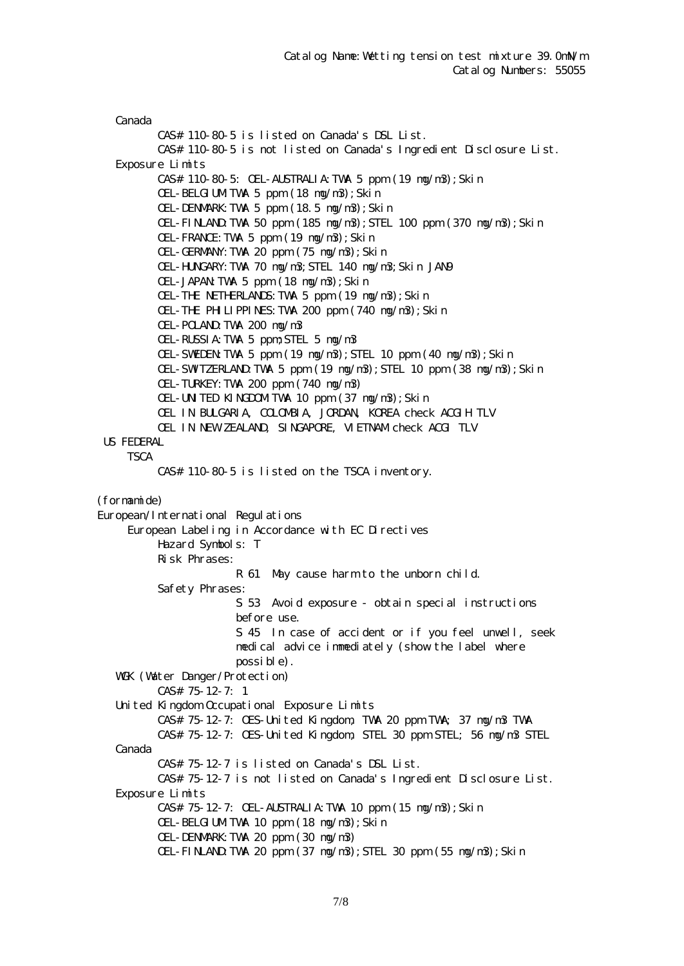Canada CAS# 110-80-5 is listed on Canada's DSL List. CAS# 110-80-5 is not listed on Canada's Ingredient Disclosure List. Exposure Limits CAS# 110-80-5: OEL-AUSTRALIA:TWA 5 ppm (19 mg/m3);Skin OEL-BELGIUMTWA 5 ppm (18 ng/n3); Skin OEL-DENMARK:TWA 5 ppm (18.5 mg/m3);Skin OEL-FINLAND:TWA 50 ppm (185 mg/m3);STEL 100 ppm (370 mg/m3);Skin OEL-FRANCE:TWA 5 ppm (19 mg/m3);Skin OEL-GERMANY:TWA 20 ppm (75 mg/m3);Skin OEL-HUNGARY:TWA 70 mg/m3;STEL 140 mg/m3;Skin JAN9 OEL-JAPAN:TWA 5 ppm (18 mg/m3);Skin OEL-THE NETHERLANDS:TWA 5 ppm (19 mg/m3);Skin OEL-THE PHILIPPINES:TWA 200 ppm (740 mg/m3);Skin OEL-POLAND:TWA 200 mg/m3 OEL-RUSSIA:TWA 5 ppm;STEL 5 mg/m3 OEL-SWEDEN:TWA 5 ppm (19 mg/m3);STEL 10 ppm (40 mg/m3);Skin OEL-SWITZERLAND:TWA 5 ppm (19 mg/m3);STEL 10 ppm (38 mg/m3);Skin OEL-TURKEY:TWA 200 ppm (740 mg/m3) OEL-UNITED KINGDOMITWA 10 ppm (37 ng/n3); Skin OEL IN BULGARIA, COLOMBIA, JORDAN, KOREA check ACGIH TLV OEL IN NEW ZEALAND, SINGAPORE, VIETNAM check ACGI TLV US FEDERAL **TSCA**  CAS# 110-80-5 is listed on the TSCA inventory. (formamide) European/International Regulations European Labeling in Accordance with EC Directives Hazard Symbols: T Risk Phrases: R 61 May cause harm to the unborn child. Safety Phrases: S 53 Avoid exposure - obtain special instructions before use. S 45 In case of accident or if you feel unwell, seek medical advice immediately (show the label where possible). WGK (Watter Danger/Protection) CAS# 75-12-7: 1 United Kingdom Occupational Exposure Limits CAS# 75-12-7: OES-United Kingdom, TWA 20 ppm TWA; 37 mg/m3 TWA CAS# 75-12-7: OES-United Kingdom, STEL 30 ppm STEL; 56 mg/m3 STEL Canada CAS# 75-12-7 is listed on Canada's DSL List. CAS# 75-12-7 is not listed on Canada's Ingredient Disclosure List. Exposure Limits CAS# 75-12-7: OEL-AUSTRALIA:TWA 10 ppm (15 mg/m3);Skin OEL-BELGIUMTWA 10 ppm (18 ng/n3); Skin OEL-DENMARK:TWA 20 ppm (30 mg/m3)  $CH$ -FINLAND TWA 20 ppm  $(37 \text{ ng/m3})$ ; STEL 30 ppm  $(55 \text{ ng/m3})$ ; Skin